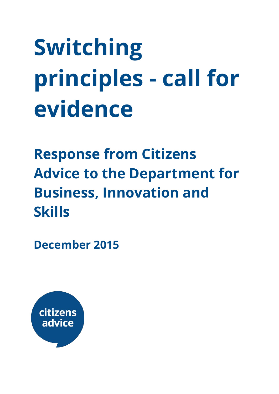# **Switching principles - call for evidence**

**Response from Citizens Advice to the Department for Business, Innovation and Skills**

**December 2015**

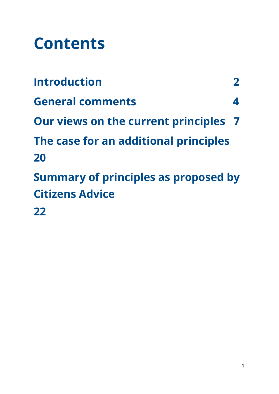# **Contents**

| <b>Introduction</b>                         |                  |
|---------------------------------------------|------------------|
| <b>General comments</b>                     | $\blacktriangle$ |
| Our views on the current principles 7       |                  |
| The case for an additional principles       |                  |
| 20                                          |                  |
| <b>Summary of principles as proposed by</b> |                  |
| <b>Citizens Advice</b>                      |                  |
| 22                                          |                  |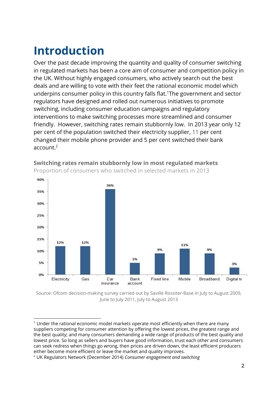# **Introduction**

Over the past decade improving the quantity and quality of consumer switching in regulated markets has been a core aim of consumer and competition policy in the UK. Without highly engaged consumers, who actively search out the best deals and are willing to vote with their feet the rational economic model which underpins consumer policy in this country falls flat.<sup>1</sup>The government and sector regulators have designed and rolled out numerous initiatives to promote switching, including consumer education campaigns and regulatory interventions to make switching processes more streamlined and consumer friendly. However, switching rates remain stubbornly low. In 2013 year only 12 per cent of the population switched their electricity supplier, 11 per cent changed their mobile phone provider and 5 per cent switched their bank account. 2



**Switching rates remain stubbornly low in most regulated markets** Proportion of consumers who switched in selected markets in 2013

Source: Ofcom decision-making survey carried out by Saville Rossiter-Base in July to August 2009, June to July 2011, July to August 2013

<sup>&</sup>lt;sup>1</sup> Under the rational economic model markets operate most efficiently when there are many suppliers competing for consumer attention by offering the lowest prices, the greatest range and the best quality; and many consumers demanding a wide range of products of the best quality and lowest price. So long as sellers and buyers have good information, trust each other and consumers can seek redress when things go wrong, then prices are driven down, the least efficient producers either become more efficient or leave the market and quality improves.

<sup>2</sup> UK Regulators Network (December 2014) *Consumer engagement and switching*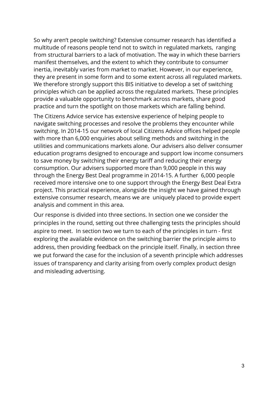So why aren't people switching? Extensive consumer research has identified a multitude of reasons people tend not to switch in regulated markets, ranging from structural barriers to a lack of motivation. The way in which these barriers manifest themselves, and the extent to which they contribute to consumer inertia, inevitably varies from market to market. However, in our experience, they are present in some form and to some extent across all regulated markets. We therefore strongly support this BIS initiative to develop a set of switching principles which can be applied across the regulated markets. These principles provide a valuable opportunity to benchmark across markets, share good practice and turn the spotlight on those markets which are falling behind.

The Citizens Advice service has extensive experience of helping people to navigate switching processes and resolve the problems they encounter while switching. In 2014-15 our network of local Citizens Advice offices helped people with more than 6,000 enquiries about selling methods and switching in the utilities and communications markets alone. Our advisers also deliver consumer education programs designed to encourage and support low income consumers to save money by switching their energy tariff and reducing their energy consumption. Our advisers supported more than 9,000 people in this way through the Energy Best Deal programme in 2014-15. A further 6,000 people received more intensive one to one support through the Energy Best Deal Extra project. This practical experience, alongside the insight we have gained through extensive consumer research, means we are uniquely placed to provide expert analysis and comment in this area.

Our response is divided into three sections. In section one we consider the principles in the round, setting out three challenging tests the principles should aspire to meet. In section two we turn to each of the principles in turn - first exploring the available evidence on the switching barrier the principle aims to address, then providing feedback on the principle itself. Finally, in section three we put forward the case for the inclusion of a seventh principle which addresses issues of transparency and clarity arising from overly complex product design and misleading advertising.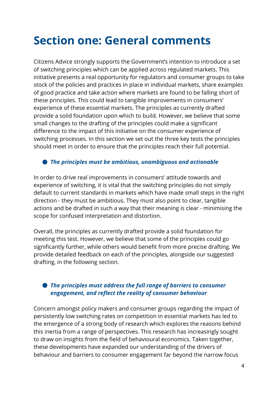### **Section one: General comments**

Citizens Advice strongly supports the Government's intention to introduce a set of switching principles which can be applied across regulated markets. This initiative presents a real opportunity for regulators and consumer groups to take stock of the policies and practices in place in individual markets, share examples of good practice and take action where markets are found to be falling short of these principles. This could lead to tangible improvements in consumers' experience of these essential markets. The principles as currently drafted provide a solid foundation upon which to build. However, we believe that some small changes to the drafting of the principles could make a significant difference to the impact of this initiative on the consumer experience of switching processes. In this section we set out the three key tests the principles should meet in order to ensure that the principles reach their full potential.

#### ● *The principles must be ambitious, unambiguous and actionable*

In order to drive real improvements in consumers' attitude towards and experience of switching, it is vital that the switching principles do not simply default to current standards in markets which have made small steps in the right direction - they must be ambitious. They must also point to clear, tangible actions and be drafted in such a way that their meaning is clear - minimising the scope for confused interpretation and distortion.

Overall, the principles as currently drafted provide a solid foundation for meeting this test. However, we believe that some of the principles could go significantly further, while others would benefit from more precise drafting. We provide detailed feedback on each of the principles, alongside our suggested drafting, in the following section.

#### ● *The principles must address the full range of barriers to consumer engagement, and reflect the reality of consumer behaviour*

Concern amongst policy makers and consumer groups regarding the impact of persistently low switching rates on competition in essential markets has led to the emergence of a strong body of research which explores the reasons behind this inertia from a range of perspectives. This research has increasingly sought to draw on insights from the field of behavioural economics. Taken together, these developments have expanded our understanding of the drivers of behaviour and barriers to consumer engagement far beyond the narrow focus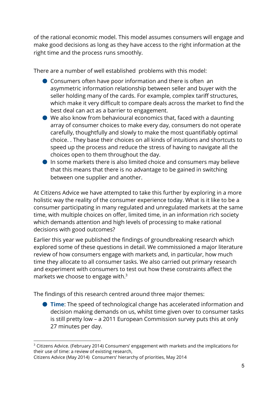of the rational economic model. This model assumes consumers will engage and make good decisions as long as they have access to the right information at the right time and the process runs smoothly.

There are a number of well established problems with this model:

- $\bullet$  Consumers often have poor information and there is often an asymmetric information relationship between seller and buyer with the seller holding many of the cards. For example, complex tariff structures, which make it very difficult to compare deals across the market to find the best deal can act as a barrier to engagement.
- $\bullet$  We also know from behavioural economics that, faced with a daunting array of consumer choices to make every day, consumers do not operate carefully, thoughtfully and slowly to make the most quantifiably optimal choice. . They base their choices on all kinds of intuitions and shortcuts to speed up the process and reduce the stress of having to navigate all the choices open to them throughout the day.
- In some markets there is also limited choice and consumers may believe that this means that there is no advantage to be gained in switching between one supplier and another.

At Citizens Advice we have attempted to take this further by exploring in a more holistic way the reality of the consumer experience today. What is it like to be a consumer participating in many regulated and unregulated markets at the same time, with multiple choices on offer, limited time, in an information rich society which demands attention and high levels of processing to make rational decisions with good outcomes?

Earlier this year we published the findings of groundbreaking research which explored some of these questions in detail. We commissioned a major literature review of how consumers engage with markets and, in particular, how much time they allocate to all consumer tasks. We also carried out primary research and experiment with consumers to test out how these constraints affect the markets we choose to engage with. $3$ 

The findings of this research centred around three major themes:

● **Time**: The speed of technological change has accelerated information and decision making demands on us, whilst time given over to consumer tasks is still pretty low – a 2011 European [Commission](http://ec.europa.eu/consumers/consumer_empowerment/) survey puts this at only 27 [minutes](http://ec.europa.eu/consumers/consumer_empowerment/) per day.

Citizens Advice (May 2014) Consumers' hierarchy of priorities, May 2014

<sup>&</sup>lt;sup>3</sup> Citizens Advice. (February 2014) Consumers' engagement with markets and the implications for their use of time: a review of existing research,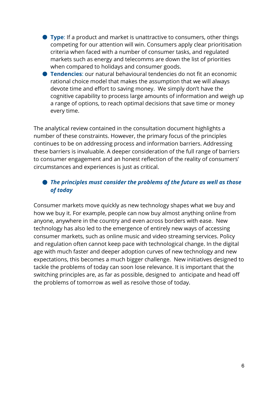- **Type**: If a product and market is unattractive to consumers, other things competing for our attention will win. Consumers apply clear prioritisation criteria when faced with a number of consumer tasks, and regulated markets such as energy and telecomms are down the list of priorities when compared to holidays and consumer goods.
- **Tendencies**: our natural behavioural tendencies do not fit an economic rational choice model that makes the assumption that we will always devote time and effort to saving money. We simply don't have the cognitive capability to process large amounts of information and weigh up a range of options, to reach optimal decisions that save time or money every time.

The analytical review contained in the consultation document highlights a number of these constraints. However, the primary focus of the principles continues to be on addressing process and information barriers. Addressing these barriers is invaluable. A deeper consideration of the full range of barriers to consumer engagement and an honest reflection of the reality of consumers' circumstances and experiences is just as critical.

#### ● *The principles must consider the problems of the future as well as those of today*

Consumer markets move quickly as new technology shapes what we buy and how we buy it. For example, people can now buy almost anything online from anyone, anywhere in the country and even across borders with ease. New technology has also led to the emergence of entirely new ways of accessing consumer markets, such as online music and video streaming services. Policy and regulation often cannot keep pace with technological change. In the digital age with much faster and deeper adoption curves of new technology and new expectations, this becomes a much bigger challenge. New initiatives designed to tackle the problems of today can soon lose relevance. It is important that the switching principles are, as far as possible, designed to anticipate and head off the problems of tomorrow as well as resolve those of today.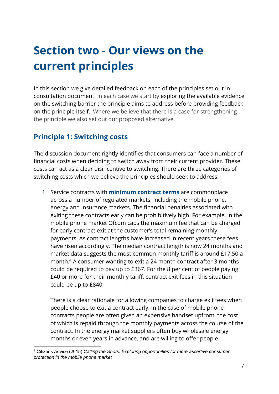# **Section two - Our views on the current principles**

In this section we give detailed feedback on each of the principles set out in consultation document. In each case we start by exploring the available evidence on the switching barrier the principle aims to address before providing feedback on the principle itself. Where we believe that there is a case for strengthening the principle we also set out our proposed alternative.

#### **Principle 1: Switching costs**

The discussion document rightly identifies that consumers can face a number of financial costs when deciding to switch away from their current provider. These costs can act as a clear disincentive to switching. There are three categories of switching costs which we believe the principles should seek to address:

1. Service contracts with **minimum contract terms**are commonplace across a number of regulated markets, including the mobile phone, energy and insurance markets. The financial penalties associated with exiting these contracts early can be prohibitively high. For example, in the mobile phone market Ofcom caps the maximum fee that can be charged for early contract exit at the customer's total remaining monthly payments. As contract lengths have increased in recent years these fees have risen accordingly. The median contract length is now 24 months and market data suggests the most common monthly tariff is around £17.50 a month. $<sup>4</sup>$  A consumer wanting to exit a 24 month contract after 3 months</sup> could be required to pay up to £367. For the 8 per cent of people paying £40 or more for their monthly tariff, contract exit fees in this situation could be up to £840.

There is a clear rationale for allowing companies to charge exit fees when people choose to exit a contract early. In the case of mobile phone contracts people are often given an expensive handset upfront, the cost of which is repaid through the monthly payments across the course of the contract. In the energy market suppliers often buy wholesale energy months or even years in advance, and are willing to offer people

<sup>4</sup> Citizens Advice (2015) *Calling the Shots: Exploring opportunities for more assertive consumer protection in the mobile phone market*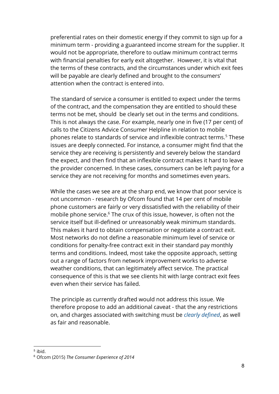preferential rates on their domestic energy if they commit to sign up for a minimum term - providing a guaranteed income stream for the supplier. It would not be appropriate, therefore to outlaw minimum contract terms with financial penalties for early exit altogether. However, it is vital that the terms of these contracts, and the circumstances under which exit fees will be payable are clearly defined and brought to the consumers' attention when the contract is entered into.

The standard of service a consumer is entitled to expect under the terms of the contract, and the compensation they are entitled to should these terms not be met, should be clearly set out in the terms and conditions. This is not always the case. For example, nearly one in five (17 per cent) of calls to the Citizens Advice Consumer Helpline in relation to mobile phones relate to standards of service and inflexible contract terms.<sup>5</sup> These issues are deeply connected. For instance, a consumer might find that the service they are receiving is persistently and severely below the standard the expect, and then find that an inflexible contract makes it hard to leave the provider concerned. In these cases, consumers can be left paying for a service they are not receiving for months and sometimes even years.

While the cases we see are at the sharp end, we know that poor service is not uncommon - research by Ofcom found that 14 per cent of mobile phone customers are fairly or very dissatisfied with the reliability of their mobile phone service. $6$  The crux of this issue, however, is often not the service itself but ill-defined or unreasonably weak minimum standards. This makes it hard to obtain compensation or negotiate a contract exit. Most networks do not define a reasonable minimum level of service or conditions for penalty-free contract exit in their standard pay monthly terms and conditions. Indeed, most take the opposite approach, setting out a range of factors from network improvement works to adverse weather conditions, that can legitimately affect service. The practical consequence of this is that we see clients hit with large contract exit fees even when their service has failed.

The principle as currently drafted would not address this issue. We therefore propose to add an additional caveat - that the any restrictions on, and charges associated with switching must be *clearly defined*, as well as fair and reasonable.

<sup>5</sup> ibid.

<sup>6</sup> Ofcom (2015) *The Consumer Experience of 2014*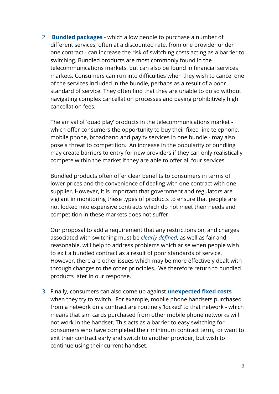2. **Bundled packages**- which allow people to purchase a number of different services, often at a discounted rate, from one provider under one contract - can increase the risk of switching costs acting as a barrier to switching. Bundled products are most commonly found in the telecommunications markets, but can also be found in financial services markets. Consumers can run into difficulties when they wish to cancel one of the services included in the bundle, perhaps as a result of a poor standard of service. They often find that they are unable to do so without navigating complex cancellation processes and paying prohibitively high cancellation fees.

The arrival of 'quad play' products in the telecommunications market which offer consumers the opportunity to buy their fixed line telephone, mobile phone, broadband and pay tv services in one bundle - may also pose a threat to competition. An increase in the popularity of bundling may create barriers to entry for new providers if they can only realistically compete within the market if they are able to offer all four services.

Bundled products often offer clear benefits to consumers in terms of lower prices and the convenience of dealing with one contract with one supplier. However, it is important that government and regulators are vigilant in monitoring these types of products to ensure that people are not locked into expensive contracts which do not meet their needs and competition in these markets does not suffer.

Our proposal to add a requirement that any restrictions on, and charges associated with switching must be *clearly defined*, as well as fair and reasonable, will help to address problems which arise when people wish to exit a bundled contract as a result of poor standards of service. However, there are other issues which may be more effectively dealt with through changes to the other principles. We therefore return to bundled products later in our response.

3. Finally, consumers can also come up against **unexpected fixed costs** when they try to switch. For example, mobile phone handsets purchased from a network on a contract are routinely 'locked' to that network - which means that sim cards purchased from other mobile phone networks will not work in the handset. This acts as a barrier to easy switching for consumers who have completed their minimum contract term, or want to exit their contract early and switch to another provider, but wish to continue using their current handset.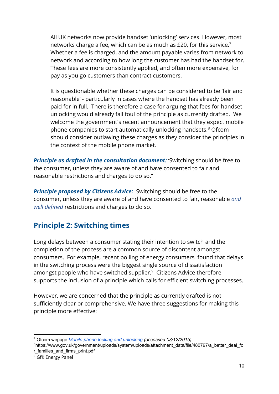All UK networks now provide handset 'unlocking' services. However, most networks charge a fee, which can be as much as £20, for this service. 7 Whether a fee is charged, and the amount payable varies from network to network and according to how long the customer has had the handset for. These fees are more consistently applied, and often more expensive, for pay as you go customers than contract customers.

It is questionable whether these charges can be considered to be 'fair and reasonable' - particularly in cases where the handset has already been paid for in full. There is therefore a case for arguing that fees for handset unlocking would already fall foul of the principle as currently drafted. We welcome the government's recent announcement that they expect mobile phone companies to start automatically unlocking handsets. <sup>8</sup> Ofcom should consider outlawing these charges as they consider the principles in the context of the mobile phone market.

*Principle as drafted in the consultation document:*'Switching should be free to the consumer, unless they are aware of and have consented to fair and reasonable restrictions and charges to do so."

**Principle proposed by Citizens Advice:** Switching should be free to the consumer, unless they are aware of and have consented to fair, reasonable *and well defined* restrictions and charges to do so.

#### **Principle 2: Switching times**

Long delays between a consumer stating their intention to switch and the completion of the process are a common source of discontent amongst consumers. For example, recent polling of energy consumers found that delays in the switching process were the biggest single source of dissatisfaction amongst people who have switched supplier. $9$  Citizens Advice therefore supports the inclusion of a principle which calls for efficient switching processes.

However, we are concerned that the principle as currently drafted is not sufficiently clear or comprehensive. We have three suggestions for making this principle more effective:

<sup>7</sup> Ofcom wepage *Mobile phone locking and [unlocking](http://consumers.ofcom.org.uk/phone/mobile-phones/changing-provider/mobile-phone-locking-and-unlocking/) (accessed 03/12/2015)*

<sup>8</sup>https://www.gov.uk/government/uploads/system/uploads/attachment\_data/file/480797/a\_better\_deal\_fo r\_families\_and\_firms\_print.pdf

<sup>9</sup> GfK Energy Panel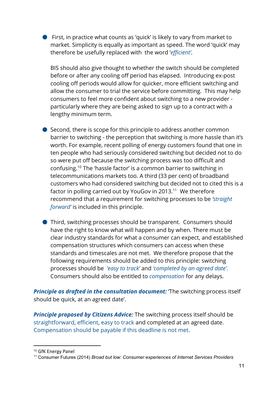● First, in practice what counts as 'quick' is likely to vary from market to market. Simplicity is equally as important as speed. The word 'quick' may therefore be usefully replaced with the word '*efficient'*.

BIS should also give thought to whether the switch should be completed before or after any cooling off period has elapsed. Introducing ex-post cooling off periods would allow for quicker, more efficient switching and allow the consumer to trial the service before committing. This may help consumers to feel more confident about switching to a new provider particularly where they are being asked to sign up to a contract with a lengthy minimum term.

● Second, there is scope for this principle to address another common barrier to switching - the perception that switching is more hassle than it's worth. For example, recent polling of energy customers found that one in ten people who had seriously considered switching but decided not to do so were put off because the switching process was too difficult and confusing.<sup>10</sup> The 'hassle factor' is a common barrier to switching in telecommunications markets too. A third (33 per cent) of broadband customers who had considered switching but decided not to cited this is a factor in polling carried out by YouGov in 2013. $^{11}$  We therefore recommend that a requirement for switching processes to be *'straight forward'* is included in this principle.

● Third, switching processes should be transparent. Consumers should have the right to know what will happen and by when. There must be clear industry standards for what a consumer can expect, and established compensation structures which consumers can access when these standards and timescales are not met. We therefore propose that the following requirements should be added to this principle: switching processes should be *'easy to track'* and *'completed by an agreed date'*. Consumers should also be entitled to *compensation* for any delays.

*Principle as drafted in the consultation document:*'The switching process itself should be quick, at an agreed date'.

*Principle proposed by Citizens Advice:* The switching process itself should be straightforward, efficient, easy to track and completed at an agreed date. Compensation should be payable if this deadline is not met.

<sup>&</sup>lt;sup>10</sup> GfK Energy Panel

<sup>11</sup> Consumer Futures (2014) *Broad but low: Consumer experiences of Internet Services Providers*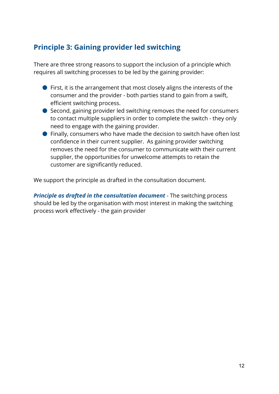#### **Principle 3: Gaining provider led switching**

There are three strong reasons to support the inclusion of a principle which requires all switching processes to be led by the gaining provider:

- First, it is the arrangement that most closely aligns the interests of the consumer and the provider - both parties stand to gain from a swift, efficient switching process.
- Second, gaining provider led switching removes the need for consumers to contact multiple suppliers in order to complete the switch - they only need to engage with the gaining provider.
- Finally, consumers who have made the decision to switch have often lost confidence in their current supplier. As gaining provider switching removes the need for the consumer to communicate with their current supplier, the opportunities for unwelcome attempts to retain the customer are significantly reduced.

We support the principle as drafted in the consultation document.

*Principle as drafted in the consultation document*- The switching process should be led by the organisation with most interest in making the switching process work effectively - the gain provider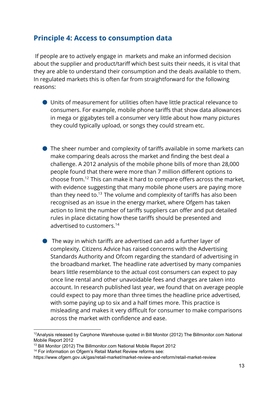#### **Principle 4: Access to consumption data**

If people are to actively engage in markets and make an informed decision about the supplier and product/tariff which best suits their needs, it is vital that they are able to understand their consumption and the deals available to them. In regulated markets this is often far from straightforward for the following reasons:

- Units of measurement for utilities often have little practical relevance to consumers. For example, mobile phone tariffs that show data allowances in mega or gigabytes tell a consumer very little about how many pictures they could typically upload, or songs they could stream etc.
- The sheer number and complexity of tariffs available in some markets can make comparing deals across the market and finding the best deal a challenge. A 2012 analysis of the mobile phone bills of more than 28,000 people found that there were more than 7 million different options to choose from.<sup>12</sup> This can make it hard to compare offers across the market, with evidence suggesting that many mobile phone users are paying more than they need to. $^{13}$  The volume and complexity of tariffs has also been recognised as an issue in the energy market, where Ofgem has taken action to limit the number of tariffs suppliers can offer and put detailed rules in place dictating how these tariffs should be presented and advertised to customers. 14
- The way in which tariffs are advertised can add a further layer of complexity. Citizens Advice has raised concerns with the Advertising Standards Authority and Ofcom regarding the standard of advertising in the broadband market. The headline rate advertised by many companies bears little resemblance to the actual cost consumers can expect to pay once line rental and other unavoidable fees and charges are taken into account. In research published last year, we found that on average people could expect to pay more than three times the headline price advertised, with some paying up to six and a half times more. This practice is misleading and makes it very difficult for consumer to make comparisons across the market with confidence and ease.

<sup>14</sup> For information on Ofgem's Retail Market Review reforms see:

<sup>&</sup>lt;sup>12</sup>Analysis released by Carphone Warehouse quoted in Bill Monitor (2012) The Billmonitor.com National Mobile Report 2012

<sup>13</sup> Bill Monitor (2012) The Billmonitor.com National Mobile Report 2012

https://www.ofgem.gov.uk/gas/retail-market/market-review-and-reform/retail-market-review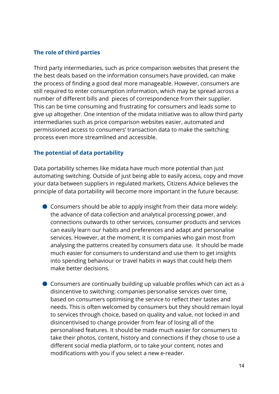#### **The role of third parties**

Third party intermediaries, such as price comparison websites that present the the best deals based on the information consumers have provided, can make the process of finding a good deal more manageable. However, consumers are still required to enter consumption information, which may be spread across a number of different bills and pieces of correspondence from their supplier. This can be time consuming and frustrating for consumers and leads some to give up altogether. One intention of the midata initiative was to allow third party intermediaries such as price comparison websites easier, automated and permissioned access to consumers' transaction data to make the switching process even more streamlined and accessible.

#### **The potential of data portability**

Data portability schemes like midata have much more potential than just automating switching. Outside of just being able to easily access, copy and move your data between suppliers in regulated markets, Citizens Advice believes the principle of data portability will become more important in the future because:

- Consumers should be able to apply insight from their data more widely: the advance of data collection and analytical processing power, and connections outwards to other services, consumer products and services can easily learn our habits and preferences and adapt and personalise services. However, at the moment, it is companies who gain most from analysing the patterns created by consumers data use. It should be made much easier for consumers to understand and use them to get insights into spending behaviour or travel habits in ways that could help them make better decisions.
- Consumers are continually building up valuable profiles which can act as a disincentive to switching: companies personalise services over time, based on consumers optimising the service to reflect their tastes and needs. This is often welcomed by consumers but they should remain loyal to services through choice, based on quality and value, not locked in and disincentivised to change provider from fear of losing all of the personalised features. It should be made much easier for consumers to take their photos, content, history and connections if they chose to use a different social media platform, or to take your content, notes and modifications with you if you select a new e-reader.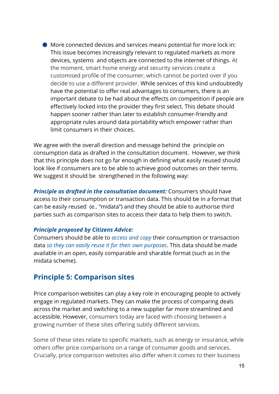$\bullet$  More connected devices and services means potential for more lock in: This issue becomes increasingly relevant to regulated markets as more devices, systems and objects are connected to the internet of things. At the moment, smart home energy and security services create a customised profile of the consumer, which cannot be ported over if you decide to use a different provider. While services of this kind undoubtedly have the potential to offer real advantages to consumers, there is an important debate to be had about the effects on competition if people are effectively locked into the provider they first select. This debate should happen sooner rather than later to establish consumer-friendly and appropriate rules around data portability which empower rather than limit consumers in their choices.

We agree with the overall direction and message behind the principle on consumption data as drafted in the consultation document. However, we think that this principle does not go far enough in defining what easily reused should look like if consumers are to be able to achieve good outcomes on their terms. We suggest it should be strengthened in the following way:

*Principle as drafted in the consultation document:*Consumers should have access to their consumption or transaction data. This should be in a format that can be easily reused (e.. "midata") and they should be able to authorise third parties such as comparison sites to access their data to help them to switch.

#### *Principle proposed by Citizens Advice:*

Consumers should be able to *access and copy* their consumption or transaction data *so they can easily reuse it for their own purposes*. This data should be made available in an open, easily comparable and sharable format (such as in the midata scheme).

#### **Principle 5: Comparison sites**

Price comparison websites can play a key role in encouraging people to actively engage in regulated markets. They can make the process of comparing deals across the market and switching to a new supplier far more streamlined and accessible. However, consumers today are faced with choosing between a growing number of these sites offering subtly different services.

Some of these sites relate to specific markets, such as energy or insurance, while others offer price comparisons on a range of consumer goods and services. Crucially, price comparison websites also differ when it comes to their business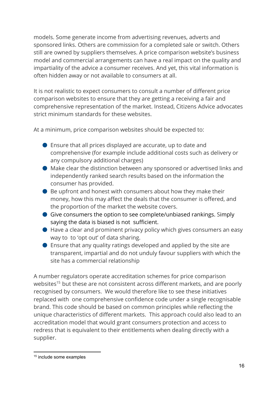models. Some generate income from advertising revenues, adverts and sponsored links. Others are commission for a completed sale or switch. Others still are owned by suppliers themselves. A price comparison website's business model and commercial arrangements can have a real impact on the quality and impartiality of the advice a consumer receives. And yet, this vital information is often hidden away or not available to consumers at all.

It is not realistic to expect consumers to consult a number of different price comparison websites to ensure that they are getting a receiving a fair and comprehensive representation of the market. Instead, Citizens Advice advocates strict minimum standards for these websites.

At a minimum, price comparison websites should be expected to:

- Ensure that all prices displayed are accurate, up to date and comprehensive (for example include additional costs such as delivery or any compulsory additional charges)
- Make clear the distinction between any sponsored or advertised links and independently ranked search results based on the information the consumer has provided.
- Be upfront and honest with consumers about how they make their money, how this may affect the deals that the consumer is offered, and the proportion of the market the website covers.
- $\bullet$  Give consumers the option to see complete/unbiased rankings. Simply saying the data is biased is not sufficient.
- $\bullet$  Have a clear and prominent privacy policy which gives consumers an easy way to to 'opt out' of data sharing.
- $\bullet$  Ensure that any quality ratings developed and applied by the site are transparent, impartial and do not unduly favour suppliers with which the site has a commercial relationship

A number regulators operate accreditation schemes for price comparison websites<sup>15</sup> but these are not consistent across different markets, and are poorly recognised by consumers. We would therefore like to see these initiatives replaced with one comprehensive confidence code under a single recognisable brand. This code should be based on common principles while reflecting the unique characteristics of different markets. This approach could also lead to an accreditation model that would grant consumers protection and access to redress that is equivalent to their entitlements when dealing directly with a supplier.

<sup>15</sup> include some examples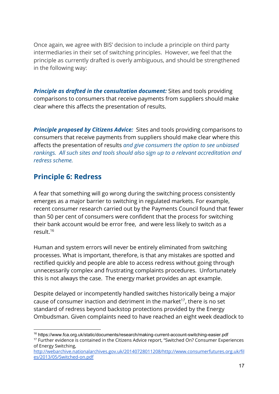Once again, we agree with BIS' decision to include a principle on third party intermediaries in their set of switching principles. However, we feel that the principle as currently drafted is overly ambiguous, and should be strengthened in the following way:

*Principle as drafted in the consultation document:*Sites and tools providing comparisons to consumers that receive payments from suppliers should make clear where this affects the presentation of results.

*Principle proposed by Citizens Advice:* Sites and tools providing comparisons to consumers that receive payments from suppliers should make clear where this affects the presentation of results *and give consumers the option to see unbiased rankings. All such sites and tools should also sign up to a relevant accreditation and redress scheme.*

#### **Principle 6: Redress**

A fear that something will go wrong during the switching process consistently emerges as a major barrier to switching in regulated markets. For example, recent consumer research carried out by the Payments Council found that fewer than 50 per cent of consumers were confident that the process for switching their bank account would be error free, and were less likely to switch as a result. 16

Human and system errors will never be entirely eliminated from switching processes. What is important, therefore, is that any mistakes are spotted and rectified quickly and people are able to access redress without going through unnecessarily complex and frustrating complaints procedures. Unfortunately this is not always the case. The energy market provides an apt example.

Despite delayed or incompetently handled switches historically being a major cause of consumer inaction and detriment in the market<sup>17</sup>, there is no set standard of redress beyond backstop protections provided by the Energy Ombudsman. Given complaints need to have reached an eight week deadlock to

<sup>&</sup>lt;sup>16</sup> https://www.fca.org.uk/static/documents/research/making-current-account-switching-easier.pdf <sup>17</sup> Further evidence is contained in the Citizens Advice report, "Switched On? Consumer Experiences of Energy Switching,

http://webarchive.nationalarchives.gov.uk/20140728011208/http://www.consumerfutures.org.uk/fil es/2013/05/Switched-on.pdf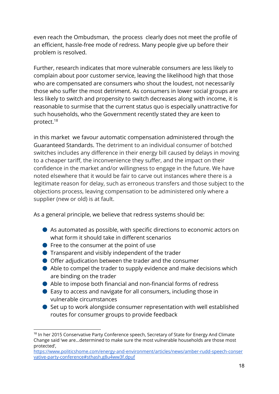even reach the Ombudsman, the process clearly does not meet the profile of an efficient, hassle-free mode of redress. Many people give up before their problem is resolved.

Further, research indicates that more vulnerable consumers are less likely to complain about poor customer service, leaving the likelihood high that those who are compensated are consumers who shout the loudest, not necessarily those who suffer the most detriment. As consumers in lower social groups are less likely to switch and propensity to switch decreases along with income, it is reasonable to surmise that the current status quo is especially unattractive for such households, who the Government recently stated they are keen to protect. 18

in this market we favour automatic compensation administered through the Guaranteed Standards. The detriment to an individual consumer of botched switches includes any difference in their energy bill caused by delays in moving to a cheaper tariff, the inconvenience they suffer, and the impact on their confidence in the market and/or willingness to engage in the future. We have noted elsewhere that it would be fair to carve out instances where there is a legitimate reason for delay, such as erroneous transfers and those subject to the objections process, leaving compensation to be administered only where a supplier (new or old) is at fault.

As a general principle, we believe that redress systems should be:

- $\bullet$  As automated as possible, with specific directions to economic actors on what form it should take in different scenarios
- $\bullet$  Free to the consumer at the point of use
- Transparent and visibly independent of the trader
- Offer adjudication between the trader and the consumer
- Able to compel the trader to supply evidence and make decisions which are binding on the trader
- Able to impose both financial and non-financial forms of redress
- Easy to access and navigate for all consumers, including those in vulnerable circumstances
- Set up to work alongside consumer representation with well established routes for consumer groups to provide feedback

<sup>&</sup>lt;sup>18</sup> In her 2015 Conservative Party Conference speech, Secretary of State for Energy And Climate Change said 'we are...determined to make sure the most vulnerable households are those most protected',

[https://www.politicshome.com/energy-and-environment/articles/news/amber-rudd-speech-conser](https://www.politicshome.com/energy-and-environment/articles/news/amber-rudd-speech-conservative-party-conference#sthash.g8u4ww3f.dpuf) [vative-party-conference#sthash.g8u4ww3f.dpuf](https://www.politicshome.com/energy-and-environment/articles/news/amber-rudd-speech-conservative-party-conference#sthash.g8u4ww3f.dpuf)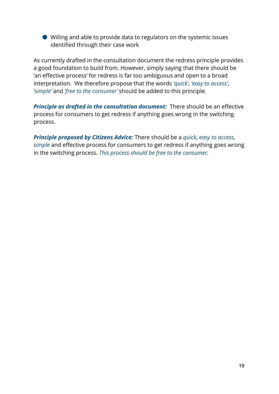● Willing and able to provide data to regulators on the systemic issues identified through their case work

As currently drafted in the consultation document the redress principle provides a good foundation to build from. However, simply saying that there should be 'an effective process' for redress is far too ambiguous and open to a broad interpretation. We therefore propose that the words *'quick'*, *'easy to access'*, *'simple'* and *'free to the consumer'* should be added to this principle.

**Principle as drafted in the consultation document:** There should be an effective process for consumers to get redress if anything goes wrong in the switching process.

*Principle proposed by Citizens Advice:*There should be a *quick*, *easy to access*, *simple* and effective process for consumers to get redress if anything goes wrong in the switching process. *This process should be free to the consumer.*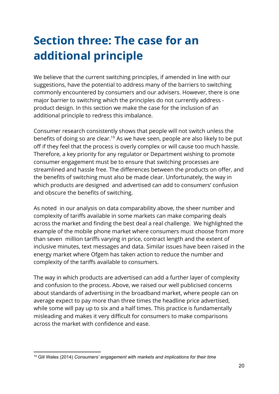# **Section three: The case for an additional principle**

We believe that the current switching principles, if amended in line with our suggestions, have the potential to address many of the barriers to switching commonly encountered by consumers and our advisers. However, there is one major barrier to switching which the principles do not currently address product design. In this section we make the case for the inclusion of an additional principle to redress this imbalance.

Consumer research consistently shows that people will not switch unless the benefits of doing so are clear.<sup>19</sup> As we have seen, people are also likely to be put off if they feel that the process is overly complex or will cause too much hassle. Therefore, a key priority for any regulator or Department wishing to promote consumer engagement must be to ensure that switching processes are streamlined and hassle free. The differences between the products on offer, and the benefits of switching must also be made clear. Unfortunately, the way in which products are designed and advertised can add to consumers' confusion and obscure the benefits of switching.

As noted in our analysis on data comparability above, the sheer number and complexity of tariffs available in some markets can make comparing deals across the market and finding the best deal a real challenge. We highlighted the example of the mobile phone market where consumers must choose from more than seven million tariffs varying in price, contract length and the extent of inclusive minutes, text messages and data. Similar issues have been raised in the energy market where Ofgem has taken action to reduce the number and complexity of the tariffs available to consumers.

The way in which products are advertised can add a further layer of complexity and confusion to the process. Above, we raised our well publicised concerns about standards of advertising in the broadband market, where people can on average expect to pay more than three times the headline price advertised, while some will pay up to six and a half times. This practice is fundamentally misleading and makes it very difficult for consumers to make comparisons across the market with confidence and ease.

<sup>19</sup> Gill Wales (2014) *Consumers' engagement with markets and implications for their time*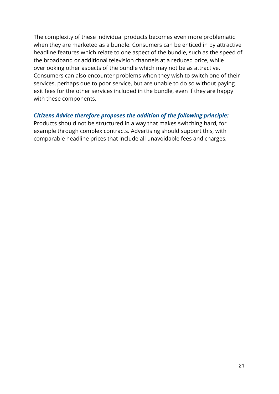The complexity of these individual products becomes even more problematic when they are marketed as a bundle. Consumers can be enticed in by attractive headline features which relate to one aspect of the bundle, such as the speed of the broadband or additional television channels at a reduced price, while overlooking other aspects of the bundle which may not be as attractive. Consumers can also encounter problems when they wish to switch one of their services, perhaps due to poor service, but are unable to do so without paying exit fees for the other services included in the bundle, even if they are happy with these components.

#### *Citizens Advice therefore proposes the addition of the following principle:*

Products should not be structured in a way that makes switching hard, for example through complex contracts. Advertising should support this, with comparable headline prices that include all unavoidable fees and charges.